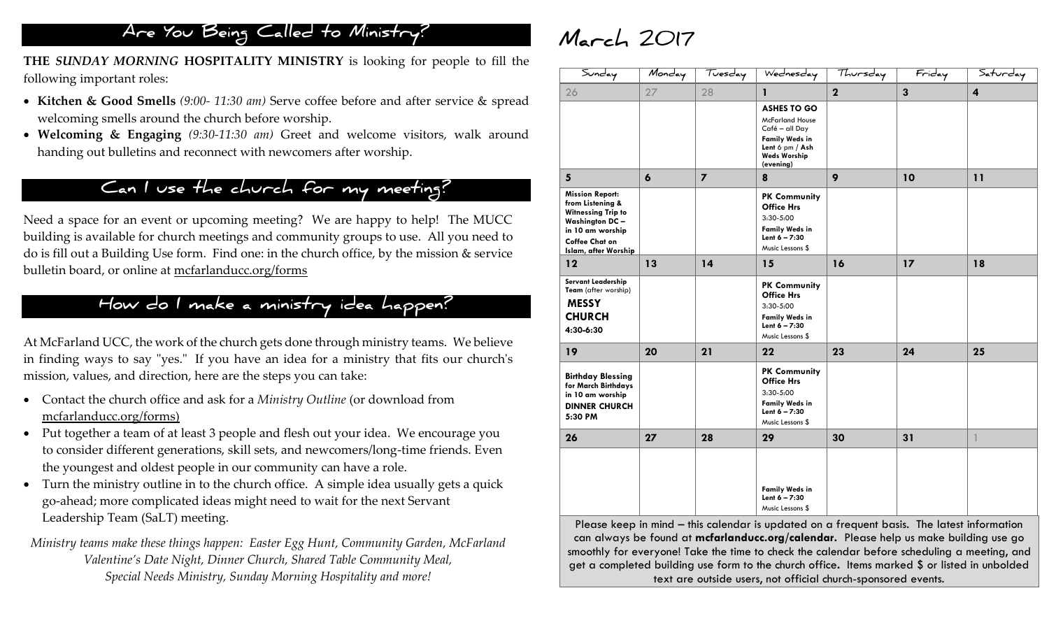## **Are You Being Called to Ministry?**

**THE** *SUNDAY MORNING* **HOSPITALITY MINISTRY** is looking for people to fill the following important roles:

- **Kitchen & Good Smells** *(9:00- 11:30 am)* Serve coffee before and after service & spread welcoming smells around the church before worship.
- **Welcoming & Engaging** *(9:30-11:30 am)* Greet and welcome visitors, walk around handing out bulletins and reconnect with newcomers after worship.

## **Can I use the church for my meeting?**

Need a space for an event or upcoming meeting? We are happy to help! The MUCC building is available for church meetings and community groups to use. All you need to do is fill out a Building Use form. Find one: in the church office, by the mission & service bulletin board, or online at mcfarlanducc.org/forms

## **How do I make a ministry idea happen?**

At McFarland UCC, the work of the church gets done through ministry teams. We believe in finding ways to say "yes." If you have an idea for a ministry that fits our church's mission, values, and direction, here are the steps you can take:

- Contact the church office and ask for a *Ministry Outline* (or download from mcfarlanducc.org/forms)
- Put together a team of at least 3 people and flesh out your idea. We encourage you to consider different generations, skill sets, and newcomers/long-time friends. Even the youngest and oldest people in our community can have a role.
- Turn the ministry outline in to the church office. A simple idea usually gets a quick go-ahead; more complicated ideas might need to wait for the next Servant Leadership Team (SaLT) meeting.

*Ministry teams make these things happen: Easter Egg Hunt, Community Garden, McFarland Valentine's Date Night, Dinner Church, Shared Table Community Meal, Special Needs Ministry, Sunday Morning Hospitality and more!*

# **March 2017**

| Sunday                                                                                                                                                                | Monday           | Tuesday        | Wednesday                                                                                                                                      | Thursday    | Friday       | Saturday       |
|-----------------------------------------------------------------------------------------------------------------------------------------------------------------------|------------------|----------------|------------------------------------------------------------------------------------------------------------------------------------------------|-------------|--------------|----------------|
| 26                                                                                                                                                                    | 27               | 28             | 1                                                                                                                                              | $\mathbf 2$ | $\mathbf{3}$ | $\overline{4}$ |
|                                                                                                                                                                       |                  |                | <b>ASHES TO GO</b><br><b>McFarland House</b><br>Café - all Day<br><b>Family Weds in</b><br>Lent 6 pm / Ash<br><b>Weds Worship</b><br>(evening) |             |              |                |
| 5                                                                                                                                                                     | $\boldsymbol{6}$ | $\overline{7}$ | 8                                                                                                                                              | 9           | 10           | 11             |
| <b>Mission Report:</b><br>from Listening &<br><b>Witnessing Trip to</b><br><b>Washington DC-</b><br>in 10 am worship<br><b>Coffee Chat on</b><br>Islam, after Worship |                  |                | <b>PK Community</b><br><b>Office Hrs</b><br>3:30-5:00<br><b>Family Weds in</b><br>Lent $6 - 7:30$<br>Music Lessons \$                          |             |              |                |
| 12                                                                                                                                                                    | 13               | 14             | 15                                                                                                                                             | 16          | 17           | 18             |
| Servant Leadership<br>Team (after worship)<br><b>MESSY</b><br><b>CHURCH</b><br>4:30-6:30                                                                              |                  |                | <b>PK Community</b><br><b>Office Hrs</b><br>3:30-5:00<br><b>Family Weds in</b><br>Lent $6 - 7:30$<br>Music Lessons \$                          |             |              |                |
| 19                                                                                                                                                                    | 20               | 21             | 22                                                                                                                                             | 23          | 24           | 25             |
| <b>Birthday Blessing</b><br>for March Birthdays<br>in 10 am worship<br><b>DINNER CHURCH</b><br>5:30 PM                                                                |                  |                | <b>PK Community</b><br><b>Office Hrs</b><br>3:30-5:00<br><b>Family Weds in</b><br>Lent $6 - 7:30$<br>Music Lessons \$                          |             |              |                |
| 26                                                                                                                                                                    | 27               | 28             | 29                                                                                                                                             | 30          | 31           | 1              |
|                                                                                                                                                                       |                  |                | <b>Family Weds in</b><br>Lent $6 - 7:30$<br>Music Lessons \$                                                                                   |             |              |                |

Please keep in mind – this calendar is updated on a frequent basis. The latest information can always be found at **mcfarlanducc.org/calendar.** Please help us make building use go smoothly for everyone! Take the time to check the calendar before scheduling a meeting, and get a completed building use form to the church office**.** Items marked \$ or listed in unbolded text are outside users, not official church-sponsored events.